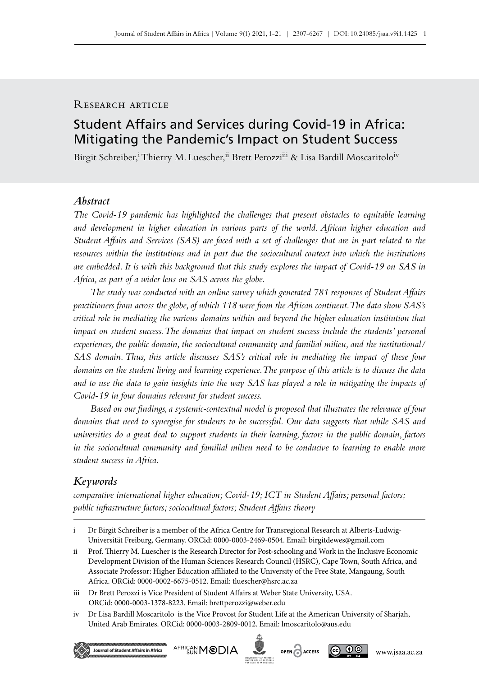# RESEARCH ARTICLE

# Student Affairs and Services during Covid‑19 in Africa: Mitigating the Pandemic's Impact on Student Success

Birgit Schreiber,<sup>i</sup> Thierry M. Luescher,<sup>ii</sup> Brett Perozzi<sup>iii</sup> & Lisa Bardill Moscaritolo<sup>iv</sup>

# *Abstract*

*The Covid‑19 pandemic has highlighted the challenges that present obstacles to equitable learning and development in higher education in various parts of the world. African higher education and Student Affairs and Services (SAS) are faced with a set of challenges that are in part related to the resources within the institutions and in part due the sociocultural context into which the institutions are embedded. It is with this background that this study explores the impact of Covid‑19 on SAS in Africa, as part of a wider lens on SAS across the globe.* 

*The study was conducted with an online survey which generated 781 responses of Student Affairs practitioners from across the globe, of which 118 were from the African continent. The data show SAS's critical role in mediating the various domains within and beyond the higher education institution that impact on student success. The domains that impact on student success include the students' personal experiences, the public domain, the sociocultural community and familial milieu, and the institutional/ SAS domain. Thus, this article discusses SAS's critical role in mediating the impact of these four domains on the student living and learning experience. The purpose of this article is to discuss the data and to use the data to gain insights into the way SAS has played a role in mitigating the impacts of Covid‑19 in four domains relevant for student success.* 

*Based on our findings, a systemic-contextual model is proposed that illustrates the relevance of four domains that need to synergise for students to be successful. Our data suggests that while SAS and universities do a great deal to support students in their learning, factors in the public domain, factors in the sociocultural community and familial milieu need to be conducive to learning to enable more student success in Africa.* 

### *Keywords*

*comparative international higher education; Covid‑19; ICT in Student Affairs; personal factors; public infrastructure factors; sociocultural factors; Student Affairs theory*

iv Dr Lisa Bardill Moscaritolo is the Vice Provost for Student Life at the American University of Sharjah, United Arab Emirates. ORCid: 0000-0003-2809-0012. Email: [lmoscaritolo@aus.edu](mailto:lmoscaritolo%40aus.edu?subject=)









i Dr Birgit Schreiber is a member of the Africa Centre for Transregional Research at Alberts-Ludwig-Universität Freiburg, Germany. ORCid: 0000-0003-2469-0504. Email: [birgitdewes@gmail.com](mailto:birgitdewes%40gmail.com?subject=)

ii Prof. Thierry M. Luescher is the Research Director for Post-schooling and Work in the Inclusive Economic Development Division of the Human Sciences Research Council (HSRC), Cape Town, South Africa, and Associate Professor: Higher Education affiliated to the University of the Free State, Mangaung, South Africa. ORCid: 0000-0002-6675-0512. Email: [tluescher@hsrc.ac.za](mailto:tluescher%40hsrc.ac.za?subject=)

iii Dr Brett Perozzi is Vice President of Student Affairs at Weber State University, USA. ORCid: 0000-0003-1378-8223. Email: [brettperozzi@weber.edu](mailto:brettperozzi%40weber.edu?subject=)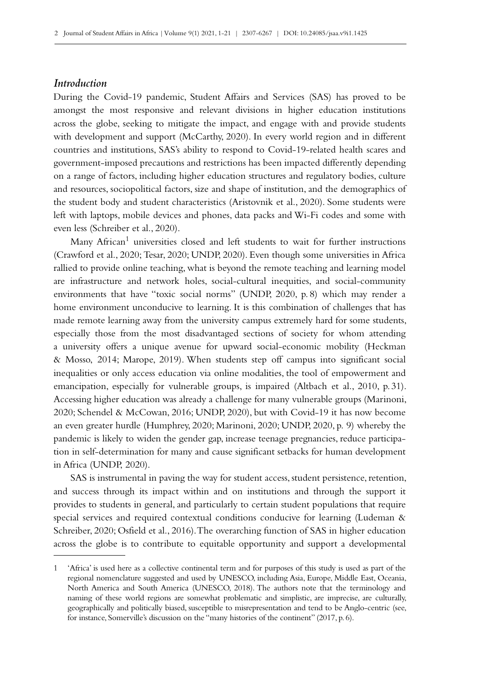# *Introduction*

During the Covid-19 pandemic, Student Affairs and Services (SAS) has proved to be amongst the most responsive and relevant divisions in higher education institutions across the globe, seeking to mitigate the impact, and engage with and provide students with development and support (McCarthy, 2020). In every world region and in different countries and institutions, SAS's ability to respond to Covid-19-related health scares and government-imposed precautions and restrictions has been impacted differently depending on a range of factors, including higher education structures and regulatory bodies, culture and resources, sociopolitical factors, size and shape of institution, and the demographics of the student body and student characteristics (Aristovnik et al., 2020). Some students were left with laptops, mobile devices and phones, data packs and Wi‑Fi codes and some with even less (Schreiber et al., 2020).

Many African<sup>1</sup> universities closed and left students to wait for further instructions (Crawford et al., 2020; Tesar, 2020; UNDP, 2020). Even though some universities in Africa rallied to provide online teaching, what is beyond the remote teaching and learning model are infrastructure and network holes, social-cultural inequities, and social-community environments that have "toxic social norms" (UNDP, 2020, p. 8) which may render a home environment unconducive to learning. It is this combination of challenges that has made remote learning away from the university campus extremely hard for some students, especially those from the most disadvantaged sections of society for whom attending a university offers a unique avenue for upward social-economic mobility (Heckman & Mosso, 2014; Marope, 2019). When students step off campus into significant social inequalities or only access education via online modalities, the tool of empowerment and emancipation, especially for vulnerable groups, is impaired (Altbach et al., 2010, p. 31). Accessing higher education was already a challenge for many vulnerable groups (Marinoni, 2020; Schendel & McCowan, 2016; UNDP, 2020), but with Covid‑19 it has now become an even greater hurdle (Humphrey, 2020; Marinoni, 2020; UNDP, 2020, p. 9) whereby the pandemic is likely to widen the gender gap, increase teenage pregnancies, reduce participa– tion in self-determination for many and cause significant setbacks for human development in Africa (UNDP, 2020).

SAS is instrumental in paving the way for student access, student persistence, retention, and success through its impact within and on institutions and through the support it provides to students in general, and particularly to certain student populations that require special services and required contextual conditions conducive for learning (Ludeman & Schreiber, 2020; Osfield et al., 2016). The overarching function of SAS in higher education across the globe is to contribute to equitable opportunity and support a developmental

<sup>1</sup> 'Africa' is used here as a collective continental term and for purposes of this study is used as part of the regional nomenclature suggested and used by UNESCO, including Asia, Europe, Middle East, Oceania, North America and South America (UNESCO, 2018). The authors note that the terminology and naming of these world regions are somewhat problematic and simplistic, are imprecise, are culturally, geographically and politically biased, susceptible to misrepresentation and tend to be Anglo-centric (see, for instance, Somerville's discussion on the "many histories of the continent" (2017, p. 6).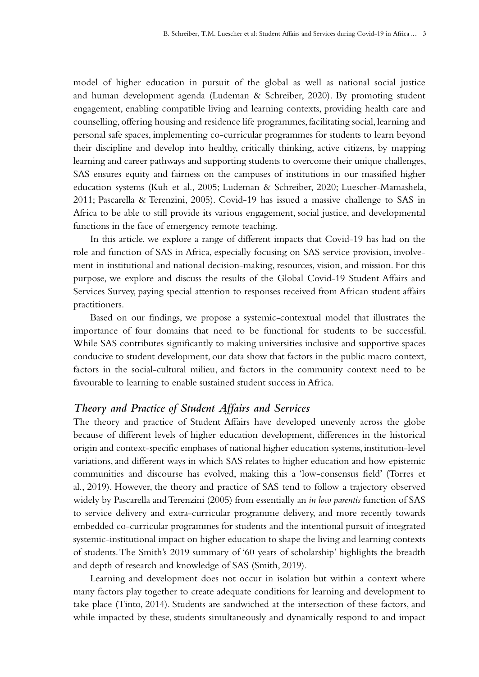model of higher education in pursuit of the global as well as national social justice and human development agenda (Ludeman & Schreiber, 2020). By promoting student engagement, enabling compatible living and learning contexts, providing health care and counselling, offering housing and residence life programmes, facilitating social, learning and personal safe spaces, implementing co‑curricular programmes for students to learn beyond their discipline and develop into healthy, critically thinking, active citizens, by mapping learning and career pathways and supporting students to overcome their unique challenges, SAS ensures equity and fairness on the campuses of institutions in our massified higher education systems (Kuh et al., 2005; Ludeman & Schreiber, 2020; Luescher-Mamashela, 2011; Pascarella & Terenzini, 2005). Covid‑19 has issued a massive challenge to SAS in Africa to be able to still provide its various engagement, social justice, and developmental functions in the face of emergency remote teaching.

In this article, we explore a range of different impacts that Covid‑19 has had on the role and function of SAS in Africa, especially focusing on SAS service provision, involvement in institutional and national decision-making, resources, vision, and mission. For this purpose, we explore and discuss the results of the Global Covid-19 Student Affairs and Services Survey, paying special attention to responses received from African student affairs practitioners.

Based on our findings, we propose a systemic-contextual model that illustrates the importance of four domains that need to be functional for students to be successful. While SAS contributes significantly to making universities inclusive and supportive spaces conducive to student development, our data show that factors in the public macro context, factors in the social-cultural milieu, and factors in the community context need to be favourable to learning to enable sustained student success in Africa.

### *Theory and Practice of Student Affairs and Services*

The theory and practice of Student Affairs have developed unevenly across the globe because of different levels of higher education development, differences in the historical origin and context-specific emphases of national higher education systems, institution-level variations, and different ways in which SAS relates to higher education and how epistemic communities and discourse has evolved, making this a 'low-consensus field' (Torres et al., 2019). However, the theory and practice of SAS tend to follow a trajectory observed widely by Pascarella and Terenzini (2005) from essentially an *in loco parentis* function of SAS to service delivery and extra-curricular programme delivery, and more recently towards embedded co‑curricular programmes for students and the intentional pursuit of integrated systemic-institutional impact on higher education to shape the living and learning contexts of students. The Smith's 2019 summary of '60 years of scholarship' highlights the breadth and depth of research and knowledge of SAS (Smith, 2019).

Learning and development does not occur in isolation but within a context where many factors play together to create adequate conditions for learning and development to take place (Tinto, 2014). Students are sandwiched at the intersection of these factors, and while impacted by these, students simultaneously and dynamically respond to and impact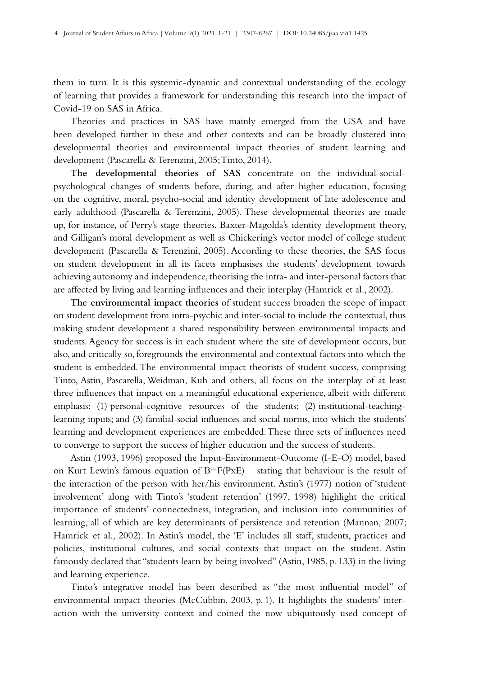them in turn. It is this systemic-dynamic and contextual understanding of the ecology of learning that provides a framework for understanding this research into the impact of Covid‑19 on SAS in Africa.

Theories and practices in SAS have mainly emerged from the USA and have been developed further in these and other contexts and can be broadly clustered into developmental theories and environmental impact theories of student learning and development (Pascarella & Terenzini, 2005; Tinto, 2014).

**The developmental theories of SAS** concentrate on the individual-socialpsychological changes of students before, during, and after higher education, focusing on the cognitive, moral, psycho-social and identity development of late adolescence and early adulthood (Pascarella & Terenzini, 2005). These developmental theories are made up, for instance, of Perry's stage theories, Baxter-Magolda's identity development theory, and Gilligan's moral development as well as Chickering's vector model of college student development (Pascarella & Terenzini, 2005). According to these theories, the SAS focus on student development in all its facets emphasises the students' development towards achieving autonomy and independence, theorising the intra- and inter-personal factors that are affected by living and learning influences and their interplay (Hamrick et al., 2002).

**The environmental impact theories** of student success broaden the scope of impact on student development from intra-psychic and inter-social to include the contextual, thus making student development a shared responsibility between environmental impacts and students. Agency for success is in each student where the site of development occurs, but also, and critically so, foregrounds the environmental and contextual factors into which the student is embedded. The environmental impact theorists of student success, comprising Tinto, Astin, Pascarella, Weidman, Kuh and others, all focus on the interplay of at least three influences that impact on a meaningful educational experience, albeit with different emphasis: (1) personal-cognitive resources of the students; (2) institutional-teachinglearning inputs; and (3) familial-social influences and social norms, into which the students' learning and development experiences are embedded. These three sets of influences need to converge to support the success of higher education and the success of students.

Astin (1993, 1996) proposed the Input-Environment-Outcome (I‑E‑O) model, based on Kurt Lewin's famous equation of  $B=F(PxE)$  – stating that behaviour is the result of the interaction of the person with her/his environment. Astin's (1977) notion of 'student involvement' along with Tinto's 'student retention' (1997, 1998) highlight the critical importance of students' connectedness, integration, and inclusion into communities of learning, all of which are key determinants of persistence and retention (Mannan, 2007; Hamrick et al., 2002). In Astin's model, the 'E' includes all staff, students, practices and policies, institutional cultures, and social contexts that impact on the student. Astin famously declared that "students learn by being involved" (Astin, 1985, p. 133) in the living and learning experience.

Tinto's integrative model has been described as "the most influential model" of environmental impact theories (McCubbin, 2003, p. 1). It highlights the students' interaction with the university context and coined the now ubiquitously used concept of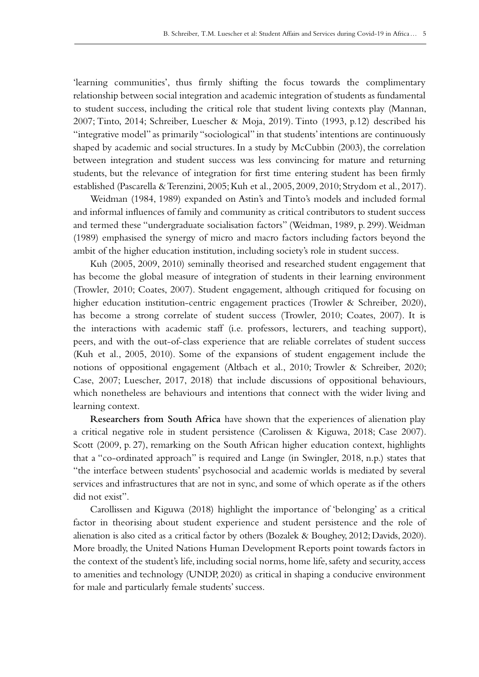'learning communities', thus firmly shifting the focus towards the complimentary relationship between social integration and academic integration of students as fundamental to student success, including the critical role that student living contexts play (Mannan, 2007; Tinto, 2014; Schreiber, Luescher & Moja, 2019). Tinto (1993, p.12) described his "integrative model" as primarily "sociological" in that students' intentions are continuously shaped by academic and social structures. In a study by McCubbin (2003), the correlation between integration and student success was less convincing for mature and returning students, but the relevance of integration for first time entering student has been firmly established (Pascarella & Terenzini, 2005; Kuh et al., 2005, 2009, 2010; Strydom et al., 2017).

Weidman (1984, 1989) expanded on Astin's and Tinto's models and included formal and informal influences of family and community as critical contributors to student success and termed these "undergraduate socialisation factors" (Weidman, 1989, p. 299). Weidman (1989) emphasised the synergy of micro and macro factors including factors beyond the ambit of the higher education institution, including society's role in student success.

Kuh (2005, 2009, 2010) seminally theorised and researched student engagement that has become the global measure of integration of students in their learning environment (Trowler, 2010; Coates, 2007). Student engagement, although critiqued for focusing on higher education institution-centric engagement practices (Trowler & Schreiber, 2020), has become a strong correlate of student success (Trowler, 2010; Coates, 2007). It is the interactions with academic staff (i.e. professors, lecturers, and teaching support), peers, and with the out-of-class experience that are reliable correlates of student success (Kuh et al., 2005, 2010). Some of the expansions of student engagement include the notions of oppositional engagement (Altbach et al., 2010; Trowler & Schreiber, 2020; Case, 2007; Luescher, 2017, 2018) that include discussions of oppositional behaviours, which nonetheless are behaviours and intentions that connect with the wider living and learning context.

**Researchers from South Africa** have shown that the experiences of alienation play a critical negative role in student persistence (Carolissen & Kiguwa, 2018; Case 2007). Scott (2009, p. 27), remarking on the South African higher education context, highlights that a "co-ordinated approach" is required and Lange (in Swingler, 2018, n.p.) states that "the interface between students' psychosocial and academic worlds is mediated by several services and infrastructures that are not in sync, and some of which operate as if the others did not exist".

Carollissen and Kiguwa (2018) highlight the importance of 'belonging' as a critical factor in theorising about student experience and student persistence and the role of alienation is also cited as a critical factor by others (Bozalek & Boughey, 2012; Davids, 2020). More broadly, the United Nations Human Development Reports point towards factors in the context of the student's life, including social norms, home life, safety and security, access to amenities and technology (UNDP, 2020) as critical in shaping a conducive environment for male and particularly female students' success.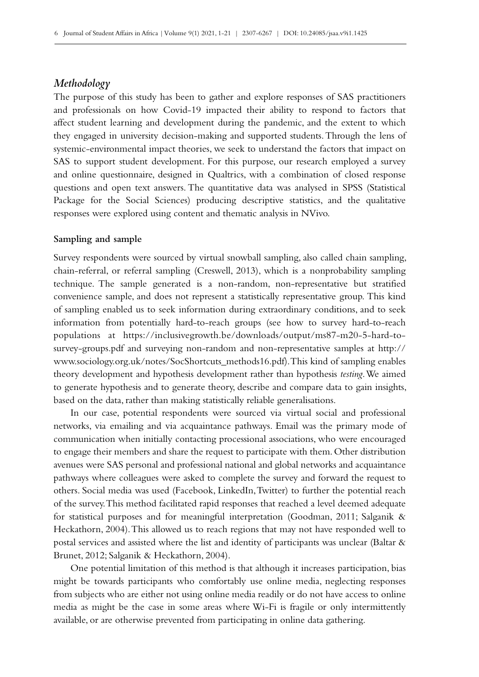### *Methodology*

The purpose of this study has been to gather and explore responses of SAS practitioners and professionals on how Covid‑19 impacted their ability to respond to factors that affect student learning and development during the pandemic, and the extent to which they engaged in university decision-making and supported students. Through the lens of systemic-environmental impact theories, we seek to understand the factors that impact on SAS to support student development. For this purpose, our research employed a survey and online questionnaire, designed in Qualtrics, with a combination of closed response questions and open text answers. The quantitative data was analysed in SPSS (Statistical Package for the Social Sciences) producing descriptive statistics, and the qualitative responses were explored using content and thematic analysis in NVivo.

#### **Sampling and sample**

Survey respondents were sourced by virtual snowball sampling, also called chain sampling, chain-referral, or referral sampling (Creswell, 2013), which is a nonprobability sampling technique. The sample generated is a non-random, non-representative but stratified convenience sample, and does not represent a statistically representative group. This kind of sampling enabled us to seek information during extraordinary conditions, and to seek information from potentially hard-to-reach groups (see how to survey hard-to-reach populations at [https://inclusivegrowth.be/downloads/output/ms87-m20-5-hard-to](https://inclusivegrowth.be/downloads/output/ms87-m20-5-hard-to-survey-groups.pdf)[survey-groups.pdf](https://inclusivegrowth.be/downloads/output/ms87-m20-5-hard-to-survey-groups.pdf) and surveying non-random and non-representative samples at [http://](http://www.sociology.org.uk/notes/SocShortcuts_methods16.pdf) [www.sociology.org.uk/notes/SocShortcuts\\_methods16.pdf](http://www.sociology.org.uk/notes/SocShortcuts_methods16.pdf)). This kind of sampling enables theory development and hypothesis development rather than hypothesis *testing*. We aimed to generate hypothesis and to generate theory, describe and compare data to gain insights, based on the data, rather than making statistically reliable generalisations.

In our case, potential respondents were sourced via virtual social and professional networks, via emailing and via acquaintance pathways. Email was the primary mode of communication when initially contacting processional associations, who were encouraged to engage their members and share the request to participate with them. Other distribution avenues were SAS personal and professional national and global networks and acquaintance pathways where colleagues were asked to complete the survey and forward the request to others. Social media was used (Facebook, LinkedIn, Twitter) to further the potential reach of the survey. This method facilitated rapid responses that reached a level deemed adequate for statistical purposes and for meaningful interpretation (Goodman, 2011; Salganik & Heckathorn, 2004). This allowed us to reach regions that may not have responded well to postal services and assisted where the list and identity of participants was unclear (Baltar & Brunet, 2012; Salganik & Heckathorn, 2004).

One potential limitation of this method is that although it increases participation, bias might be towards participants who comfortably use online media, neglecting responses from subjects who are either not using online media readily or do not have access to online media as might be the case in some areas where Wi‑Fi is fragile or only intermittently available, or are otherwise prevented from participating in online data gathering.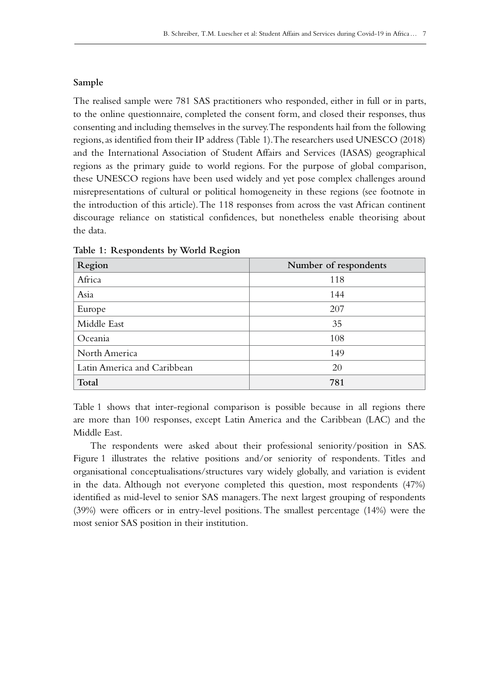### **Sample**

The realised sample were 781 SAS practitioners who responded, either in full or in parts, to the online questionnaire, completed the consent form, and closed their responses, thus consenting and including themselves in the survey. The respondents hail from the following regions, as identified from their IP address (Table 1). The researchers used UNESCO (2018) and the International Association of Student Affairs and Services (IASAS) geographical regions as the primary guide to world regions. For the purpose of global comparison, these UNESCO regions have been used widely and yet pose complex challenges around misrepresentations of cultural or political homogeneity in these regions (see footnote in the introduction of this article). The 118 responses from across the vast African continent discourage reliance on statistical confidences, but nonetheless enable theorising about the data.

| Region                      | Number of respondents |
|-----------------------------|-----------------------|
| Africa                      | 118                   |
| Asia                        | 144                   |
| Europe                      | 207                   |
| Middle East                 | 35                    |
| Oceania                     | 108                   |
| North America               | 149                   |
| Latin America and Caribbean | 20                    |
| Total                       | 781                   |

**Table 1: Respondents by World Region**

Table 1 shows that inter-regional comparison is possible because in all regions there are more than 100 responses, except Latin America and the Caribbean (LAC) and the Middle East.

The respondents were asked about their professional seniority/position in SAS. Figure 1 illustrates the relative positions and/or seniority of respondents. Titles and organisational conceptualisations/structures vary widely globally, and variation is evident in the data. Although not everyone completed this question, most respondents (47%) identified as mid-level to senior SAS managers. The next largest grouping of respondents (39%) were officers or in entry-level positions. The smallest percentage (14%) were the most senior SAS position in their institution.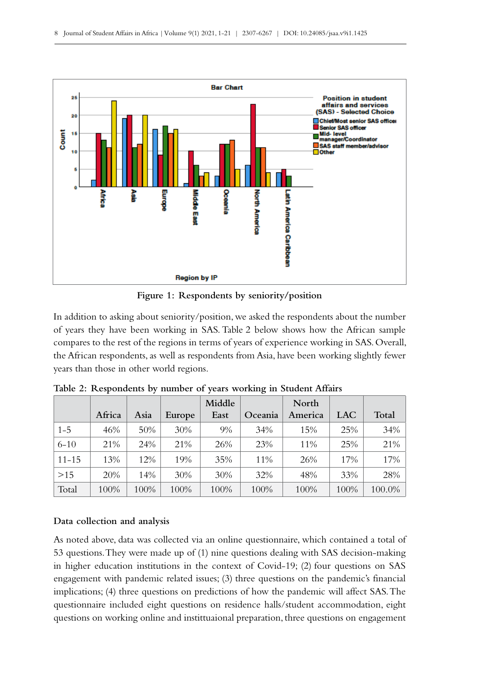

**Figure 1: Respondents by seniority/position**

In addition to asking about seniority/position, we asked the respondents about the number of years they have been working in SAS. Table 2 below shows how the African sample compares to the rest of the regions in terms of years of experience working in SAS. Overall, the African respondents, as well as respondents from Asia, have been working slightly fewer years than those in other world regions.

|           |        |      |        | Middle |         | North   |      |        |
|-----------|--------|------|--------|--------|---------|---------|------|--------|
|           | Africa | Asia | Europe | East   | Oceania | America | LAC  | Total  |
| $1 - 5$   | 46%    | 50%  | 30%    | $9\%$  | 34%     | 15%     | 25%  | 34%    |
| $6 - 10$  | 21%    | 24%  | 21%    | 26%    | 23%     | 11%     | 25%  | 21%    |
| $11 - 15$ | 13%    | 12%  | 19%    | 35%    | 11%     | 26%     | 17%  | 17%    |
| >15       | 20%    | 14%  | 30%    | 30%    | 32%     | 48%     | 33%  | 28%    |
| Total     | 100%   | 100% | 100%   | 100%   | 100%    | 100%    | 100% | 100.0% |

**Table 2: Respondents by number of years working in Student Affairs**

# **Data collection and analysis**

As noted above, data was collected via an online questionnaire, which contained a total of 53 questions. They were made up of (1) nine questions dealing with SAS decision-making in higher education institutions in the context of Covid–19;  $(2)$  four questions on SAS engagement with pandemic related issues; (3) three questions on the pandemic's financial implications; (4) three questions on predictions of how the pandemic will affect SAS. The questionnaire included eight questions on residence halls/student accommodation, eight questions on working online and instittuaional preparation, three questions on engagement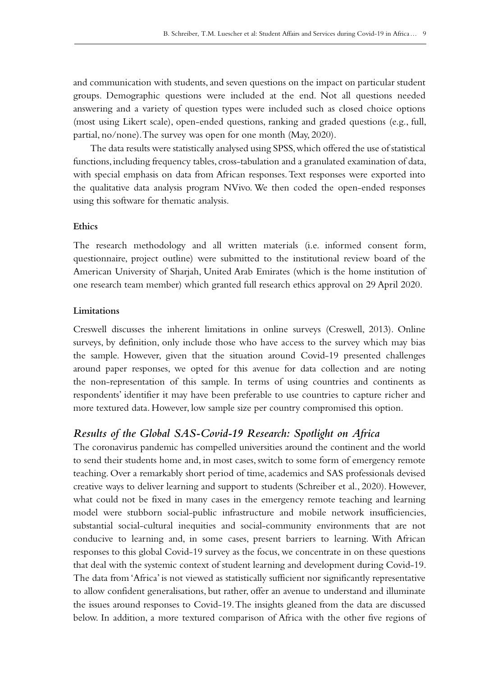and communication with students, and seven questions on the impact on particular student groups. Demographic questions were included at the end. Not all questions needed answering and a variety of question types were included such as closed choice options (most using Likert scale), open-ended questions, ranking and graded questions (e.g., full, partial, no/none). The survey was open for one month (May, 2020).

The data results were statistically analysed using SPSS, which offered the use of statistical functions, including frequency tables, cross-tabulation and a granulated examination of data, with special emphasis on data from African responses. Text responses were exported into the qualitative data analysis program NVivo. We then coded the open-ended responses using this software for thematic analysis.

# **Ethics**

The research methodology and all written materials (i.e. informed consent form, questionnaire, project outline) were submitted to the institutional review board of the American University of Sharjah, United Arab Emirates (which is the home institution of one research team member) which granted full research ethics approval on 29 April 2020.

#### **Limitations**

Creswell discusses the inherent limitations in online surveys (Creswell, 2013). Online surveys, by definition, only include those who have access to the survey which may bias the sample. However, given that the situation around Covid-19 presented challenges around paper responses, we opted for this avenue for data collection and are noting the non-representation of this sample. In terms of using countries and continents as respondents' identifier it may have been preferable to use countries to capture richer and more textured data. However, low sample size per country compromised this option.

# *Results of the Global SAS-Covid-19 Research: Spotlight on Africa*

The coronavirus pandemic has compelled universities around the continent and the world to send their students home and, in most cases, switch to some form of emergency remote teaching. Over a remarkably short period of time, academics and SAS professionals devised creative ways to deliver learning and support to students (Schreiber et al., 2020). However, what could not be fixed in many cases in the emergency remote teaching and learning model were stubborn social-public infrastructure and mobile network insufficiencies, substantial social-cultural inequities and social-community environments that are not conducive to learning and, in some cases, present barriers to learning. With African responses to this global Covid‑19 survey as the focus, we concentrate in on these questions that deal with the systemic context of student learning and development during Covid-19. The data from 'Africa' is not viewed as statistically sufficient nor significantly representative to allow confident generalisations, but rather, offer an avenue to understand and illuminate the issues around responses to Covid‑19. The insights gleaned from the data are discussed below. In addition, a more textured comparison of Africa with the other five regions of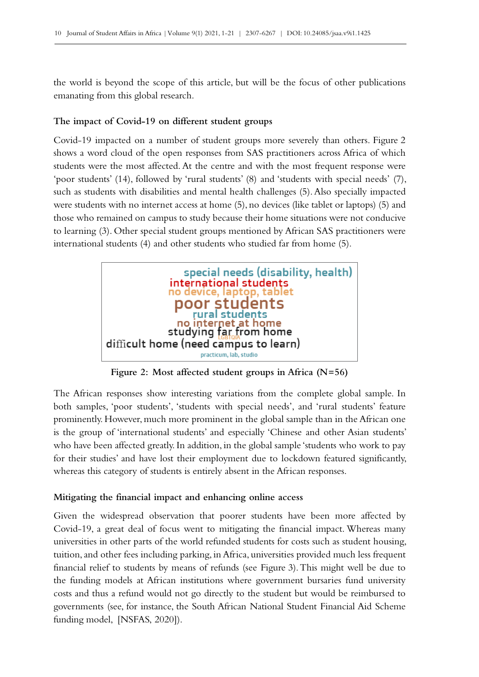the world is beyond the scope of this article, but will be the focus of other publications emanating from this global research.

#### **The impact of Covid‑19 on different student groups**

Covid‑19 impacted on a number of student groups more severely than others. Figure 2 shows a word cloud of the open responses from SAS practitioners across Africa of which students were the most affected. At the centre and with the most frequent response were 'poor students' (14), followed by 'rural students' (8) and 'students with special needs' (7), such as students with disabilities and mental health challenges (5). Also specially impacted were students with no internet access at home (5), no devices (like tablet or laptops) (5) and those who remained on campus to study because their home situations were not conducive to learning (3). Other special student groups mentioned by African SAS practitioners were international students (4) and other students who studied far from home (5).



**Figure 2: Most affected student groups in Africa (N=56)**

The African responses show interesting variations from the complete global sample. In both samples, 'poor students', 'students with special needs', and 'rural students' feature prominently. However, much more prominent in the global sample than in the African one is the group of 'international students' and especially 'Chinese and other Asian students' who have been affected greatly. In addition, in the global sample 'students who work to pay for their studies' and have lost their employment due to lockdown featured significantly, whereas this category of students is entirely absent in the African responses.

#### **Mitigating the financial impact and enhancing online access**

Given the widespread observation that poorer students have been more affected by Covid‑19, a great deal of focus went to mitigating the financial impact. Whereas many universities in other parts of the world refunded students for costs such as student housing, tuition, and other fees including parking, in Africa, universities provided much less frequent financial relief to students by means of refunds (see Figure 3). This might well be due to the funding models at African institutions where government bursaries fund university costs and thus a refund would not go directly to the student but would be reimbursed to governments (see, for instance, the South African National Student Financial Aid Scheme funding model, [NSFAS, 2020]).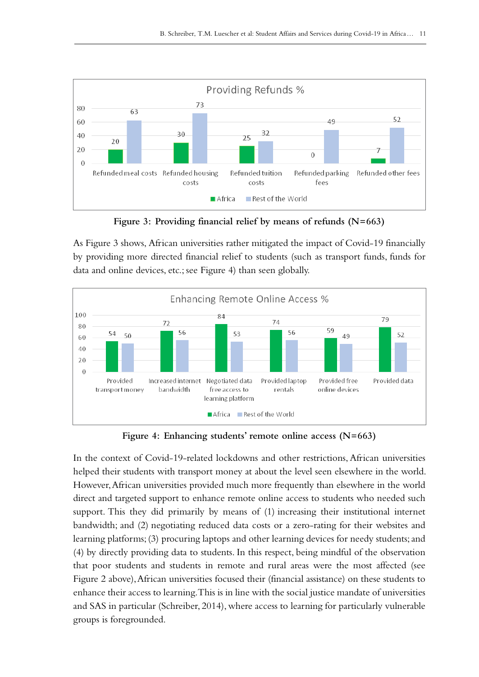

**Figure 3: Providing financial relief by means of refunds (N=663)**

As Figure 3 shows, African universities rather mitigated the impact of Covid-19 financially by providing more directed financial relief to students (such as transport funds, funds for data and online devices, etc.; see Figure 4) than seen globally.



**Figure 4: Enhancing students' remote online access (N=663)**

In the context of Covid-19-related lockdowns and other restrictions, African universities helped their students with transport money at about the level seen elsewhere in the world. However, African universities provided much more frequently than elsewhere in the world direct and targeted support to enhance remote online access to students who needed such support. This they did primarily by means of (1) increasing their institutional internet bandwidth; and (2) negotiating reduced data costs or a zero-rating for their websites and learning platforms; (3) procuring laptops and other learning devices for needy students; and (4) by directly providing data to students. In this respect, being mindful of the observation that poor students and students in remote and rural areas were the most affected (see Figure 2 above), African universities focused their (financial assistance) on these students to enhance their access to learning. This is in line with the social justice mandate of universities and SAS in particular (Schreiber, 2014), where access to learning for particularly vulnerable groups is foregrounded.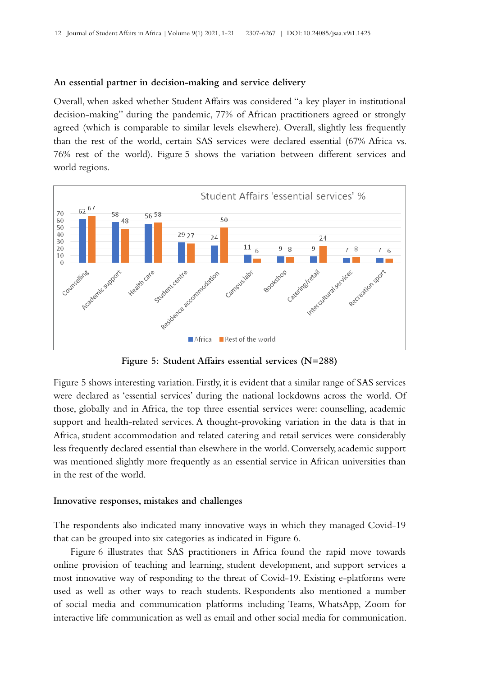#### **An essential partner in decision-making and service delivery**

Overall, when asked whether Student Affairs was considered "a key player in institutional decision-making" during the pandemic, 77% of African practitioners agreed or strongly agreed (which is comparable to similar levels elsewhere). Overall, slightly less frequently than the rest of the world, certain SAS services were declared essential (67% Africa vs. 76% rest of the world). Figure 5 shows the variation between different services and world regions.



**Figure 5: Student Affairs essential services (N=288)**

Figure 5 shows interesting variation. Firstly, it is evident that a similar range of SAS services were declared as 'essential services' during the national lockdowns across the world. Of those, globally and in Africa, the top three essential services were: counselling, academic support and health-related services. A thought-provoking variation in the data is that in Africa, student accommodation and related catering and retail services were considerably less frequently declared essential than elsewhere in the world. Conversely, academic support was mentioned slightly more frequently as an essential service in African universities than in the rest of the world.

#### **Innovative responses, mistakes and challenges**

The respondents also indicated many innovative ways in which they managed Covid–19 that can be grouped into six categories as indicated in Figure 6.

Figure 6 illustrates that SAS practitioners in Africa found the rapid move towards online provision of teaching and learning, student development, and support services a most innovative way of responding to the threat of Covid-19. Existing e-platforms were used as well as other ways to reach students. Respondents also mentioned a number of social media and communication platforms including Teams, WhatsApp, Zoom for interactive life communication as well as email and other social media for communication.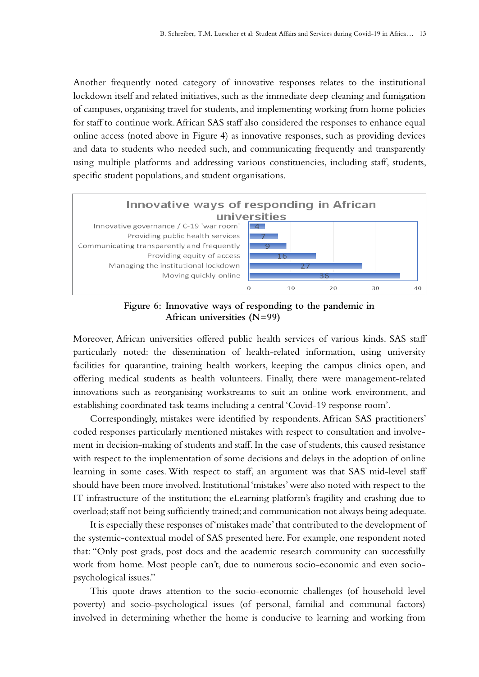Another frequently noted category of innovative responses relates to the institutional lockdown itself and related initiatives, such as the immediate deep cleaning and fumigation of campuses, organising travel for students, and implementing working from home policies for staff to continue work. African SAS staff also considered the responses to enhance equal online access (noted above in Figure 4) as innovative responses, such as providing devices and data to students who needed such, and communicating frequently and transparently using multiple platforms and addressing various constituencies, including staff, students, specific student populations, and student organisations.



**Figure 6: Innovative ways of responding to the pandemic in African universities (N=99)**

Moreover, African universities offered public health services of various kinds. SAS staff particularly noted: the dissemination of health-related information, using university facilities for quarantine, training health workers, keeping the campus clinics open, and offering medical students as health volunteers. Finally, there were management-related innovations such as reorganising workstreams to suit an online work environment, and establishing coordinated task teams including a central 'Covid-19 response room'.

Correspondingly, mistakes were identified by respondents. African SAS practitioners' coded responses particularly mentioned mistakes with respect to consultation and involvement in decision-making of students and staff. In the case of students, this caused resistance with respect to the implementation of some decisions and delays in the adoption of online learning in some cases. With respect to staff, an argument was that SAS mid-level staff should have been more involved. Institutional 'mistakes' were also noted with respect to the IT infrastructure of the institution; the eLearning platform's fragility and crashing due to overload; staff not being sufficiently trained; and communication not always being adequate.

It is especially these responses of 'mistakes made' that contributed to the development of the systemic-contextual model of SAS presented here. For example, one respondent noted that: "Only post grads, post docs and the academic research community can successfully work from home. Most people can't, due to numerous socio-economic and even sociopsychological issues."

This quote draws attention to the socio-economic challenges (of household level poverty) and socio-psychological issues (of personal, familial and communal factors) involved in determining whether the home is conducive to learning and working from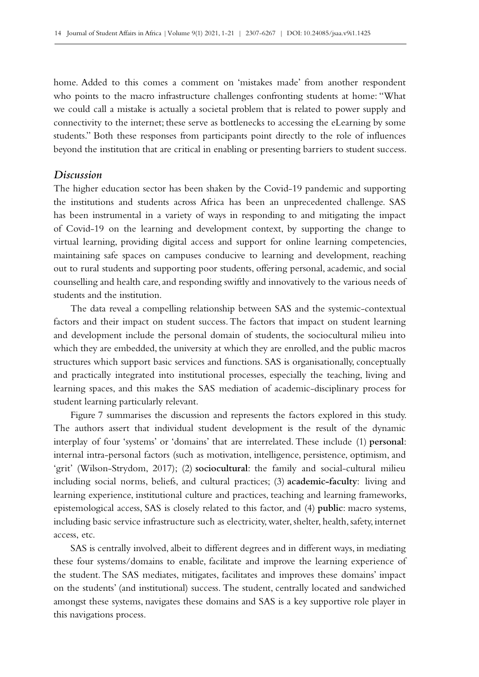home. Added to this comes a comment on 'mistakes made' from another respondent who points to the macro infrastructure challenges confronting students at home: "What we could call a mistake is actually a societal problem that is related to power supply and connectivity to the internet; these serve as bottlenecks to accessing the eLearning by some students." Both these responses from participants point directly to the role of influences beyond the institution that are critical in enabling or presenting barriers to student success.

### *Discussion*

The higher education sector has been shaken by the Covid–19 pandemic and supporting the institutions and students across Africa has been an unprecedented challenge. SAS has been instrumental in a variety of ways in responding to and mitigating the impact of Covid‑19 on the learning and development context, by supporting the change to virtual learning, providing digital access and support for online learning competencies, maintaining safe spaces on campuses conducive to learning and development, reaching out to rural students and supporting poor students, offering personal, academic, and social counselling and health care, and responding swiftly and innovatively to the various needs of students and the institution.

The data reveal a compelling relationship between SAS and the systemic-contextual factors and their impact on student success. The factors that impact on student learning and development include the personal domain of students, the sociocultural milieu into which they are embedded, the university at which they are enrolled, and the public macros structures which support basic services and functions. SAS is organisationally, conceptually and practically integrated into institutional processes, especially the teaching, living and learning spaces, and this makes the SAS mediation of academic-disciplinary process for student learning particularly relevant.

Figure 7 summarises the discussion and represents the factors explored in this study. The authors assert that individual student development is the result of the dynamic interplay of four 'systems' or 'domains' that are interrelated. These include (1) **personal**: internal intra-personal factors (such as motivation, intelligence, persistence, optimism, and 'grit' (Wilson-Strydom, 2017); (2) **sociocultural**: the family and social-cultural milieu including social norms, beliefs, and cultural practices; (3) **academic-faculty**: living and learning experience, institutional culture and practices, teaching and learning frameworks, epistemological access, SAS is closely related to this factor, and (4) **public**: macro systems, including basic service infrastructure such as electricity, water, shelter, health, safety, internet access, etc.

SAS is centrally involved, albeit to different degrees and in different ways, in mediating these four systems/domains to enable, facilitate and improve the learning experience of the student. The SAS mediates, mitigates, facilitates and improves these domains' impact on the students' (and institutional) success. The student, centrally located and sandwiched amongst these systems, navigates these domains and SAS is a key supportive role player in this navigations process.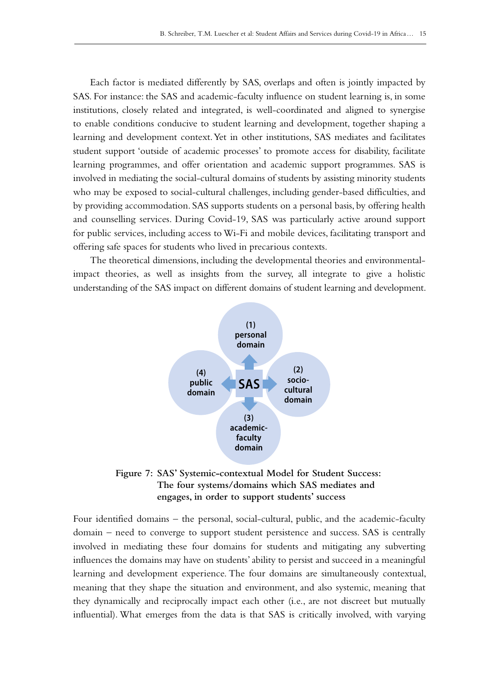Each factor is mediated differently by SAS, overlaps and often is jointly impacted by SAS. For instance: the SAS and academic-faculty influence on student learning is, in some institutions, closely related and integrated, is well-coordinated and aligned to synergise to enable conditions conducive to student learning and development, together shaping a learning and development context. Yet in other institutions, SAS mediates and facilitates student support 'outside of academic processes' to promote access for disability, facilitate learning programmes, and offer orientation and academic support programmes. SAS is involved in mediating the social-cultural domains of students by assisting minority students who may be exposed to social-cultural challenges, including gender-based difficulties, and by providing accommodation. SAS supports students on a personal basis, by offering health and counselling services. During Covid-19, SAS was particularly active around support for public services, including access to Wi‑Fi and mobile devices, facilitating transport and offering safe spaces for students who lived in precarious contexts.

The theoretical dimensions, including the developmental theories and environmentalimpact theories, as well as insights from the survey, all integrate to give a holistic understanding of the SAS impact on different domains of student learning and development.



**Figure 7: SAS' Systemic-contextual Model for Student Success: The four systems/domains which SAS mediates and engages, in order to support students' success**

Four identified domains – the personal, social-cultural, public, and the academic-faculty domain – need to converge to support student persistence and success. SAS is centrally involved in mediating these four domains for students and mitigating any subverting influences the domains may have on students' ability to persist and succeed in a meaningful learning and development experience. The four domains are simultaneously contextual, meaning that they shape the situation and environment, and also systemic, meaning that they dynamically and reciprocally impact each other (i.e., are not discreet but mutually influential). What emerges from the data is that SAS is critically involved, with varying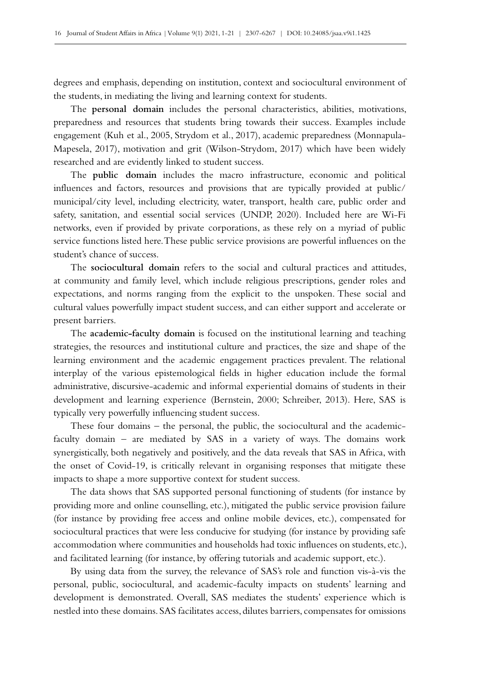degrees and emphasis, depending on institution, context and sociocultural environment of the students, in mediating the living and learning context for students.

The **personal domain** includes the personal characteristics, abilities, motivations, preparedness and resources that students bring towards their success. Examples include engagement (Kuh et al., 2005, Strydom et al., 2017), academic preparedness (Monnapula-Mapesela, 2017), motivation and grit (Wilson-Strydom, 2017) which have been widely researched and are evidently linked to student success.

The **public domain** includes the macro infrastructure, economic and political influences and factors, resources and provisions that are typically provided at public/ municipal/city level, including electricity, water, transport, health care, public order and safety, sanitation, and essential social services (UNDP, 2020). Included here are Wi-Fi networks, even if provided by private corporations, as these rely on a myriad of public service functions listed here. These public service provisions are powerful influences on the student's chance of success.

The **sociocultural domain** refers to the social and cultural practices and attitudes, at community and family level, which include religious prescriptions, gender roles and expectations, and norms ranging from the explicit to the unspoken. These social and cultural values powerfully impact student success, and can either support and accelerate or present barriers.

The **academic-faculty domain** is focused on the institutional learning and teaching strategies, the resources and institutional culture and practices, the size and shape of the learning environment and the academic engagement practices prevalent. The relational interplay of the various epistemological fields in higher education include the formal administrative, discursive-academic and informal experiential domains of students in their development and learning experience (Bernstein, 2000; Schreiber, 2013). Here, SAS is typically very powerfully influencing student success.

These four domains – the personal, the public, the sociocultural and the academicfaculty domain – are mediated by SAS in a variety of ways. The domains work synergistically, both negatively and positively, and the data reveals that SAS in Africa, with the onset of Covid‑19, is critically relevant in organising responses that mitigate these impacts to shape a more supportive context for student success.

The data shows that SAS supported personal functioning of students (for instance by providing more and online counselling, etc.), mitigated the public service provision failure (for instance by providing free access and online mobile devices, etc.), compensated for sociocultural practices that were less conducive for studying (for instance by providing safe accommodation where communities and households had toxic influences on students, etc.), and facilitated learning (for instance, by offering tutorials and academic support, etc.).

By using data from the survey, the relevance of SAS's role and function vis-à-vis the personal, public, sociocultural, and academic-faculty impacts on students' learning and development is demonstrated. Overall, SAS mediates the students' experience which is nestled into these domains. SAS facilitates access, dilutes barriers, compensates for omissions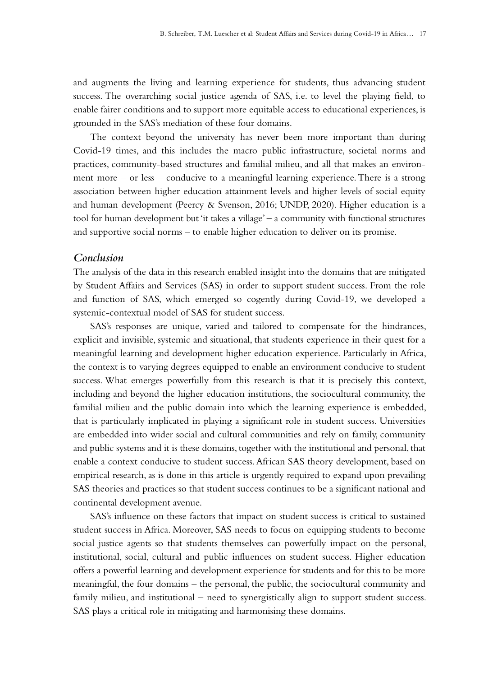and augments the living and learning experience for students, thus advancing student success. The overarching social justice agenda of SAS, i.e. to level the playing field, to enable fairer conditions and to support more equitable access to educational experiences, is grounded in the SAS's mediation of these four domains.

The context beyond the university has never been more important than during Covid‑19 times, and this includes the macro public infrastructure, societal norms and practices, community-based structures and familial milieu, and all that makes an environ– ment more – or less – conducive to a meaningful learning experience. There is a strong association between higher education attainment levels and higher levels of social equity and human development (Peercy & Svenson, 2016; UNDP, 2020). Higher education is a tool for human development but 'it takes a village' – a community with functional structures and supportive social norms – to enable higher education to deliver on its promise.

# *Conclusion*

The analysis of the data in this research enabled insight into the domains that are mitigated by Student Affairs and Services (SAS) in order to support student success. From the role and function of SAS, which emerged so cogently during Covid-19, we developed a systemic-contextual model of SAS for student success.

SAS's responses are unique, varied and tailored to compensate for the hindrances, explicit and invisible, systemic and situational, that students experience in their quest for a meaningful learning and development higher education experience. Particularly in Africa, the context is to varying degrees equipped to enable an environment conducive to student success. What emerges powerfully from this research is that it is precisely this context, including and beyond the higher education institutions, the sociocultural community, the familial milieu and the public domain into which the learning experience is embedded, that is particularly implicated in playing a significant role in student success. Universities are embedded into wider social and cultural communities and rely on family, community and public systems and it is these domains, together with the institutional and personal, that enable a context conducive to student success. African SAS theory development, based on empirical research, as is done in this article is urgently required to expand upon prevailing SAS theories and practices so that student success continues to be a significant national and continental development avenue.

SAS's influence on these factors that impact on student success is critical to sustained student success in Africa. Moreover, SAS needs to focus on equipping students to become social justice agents so that students themselves can powerfully impact on the personal, institutional, social, cultural and public influences on student success. Higher education offers a powerful learning and development experience for students and for this to be more meaningful, the four domains – the personal, the public, the sociocultural community and family milieu, and institutional – need to synergistically align to support student success. SAS plays a critical role in mitigating and harmonising these domains.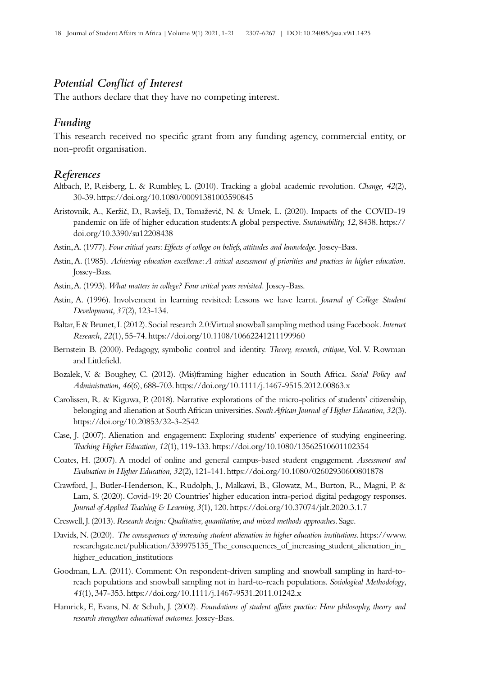# *Potential Conflict of Interest*

The authors declare that they have no competing interest.

### *Funding*

This research received no specific grant from any funding agency, commercial entity, or non‑profit organisation.

#### *References*

- Altbach, P., Reisberg, L. & Rumbley, L. (2010). Tracking a global academic revolution. *Change, 42*(2), 30‑39.<https://doi.org/10.1080/00091381003590845>
- Aristovnik, A., Keržič, D., Ravšelj, D., Tomaževič, N. & Umek, L. (2020). Impacts of the COVID-19 pandemic on life of higher education students: A global perspective. *Sustainability, 12*, 8438. [https://](https://doi.org/10.3390/su12208438) [doi.org/10.3390/su12208438](https://doi.org/10.3390/su12208438)
- Astin, A. (1977). *Four critical years: Effects of college on beliefs, attitudes and knowledge.* Jossey-Bass.
- Astin, A. (1985). *Achieving education excellence: A critical assessment of priorities and practices in higher education.* Jossey-Bass.
- Astin, A. (1993). *What matters in college? Four critical years revisited.* Jossey-Bass.
- Astin, A. (1996). Involvement in learning revisited: Lessons we have learnt. *Journal of College Student Development, 37*(2), 123‑134.
- Baltar, F. & Brunet, I. (2012). Social research 2.0: Virtual snowball sampling method using Facebook. *Internet Research, 22*(1), 55‑74.<https://doi.org/10.1108/10662241211199960>
- Bernstein B. (2000). Pedagogy, symbolic control and identity. *Theory, research, critique*, Vol. V. Rowman and Littlefield.
- Bozalek, V. & Boughey, C. (2012). (Mis)framing higher education in South Africa. *Social Policy and Administration, 46*(6), 688‑703. <https://doi.org/10.1111/j.1467-9515.2012.00863.x>
- Carolissen, R. & Kiguwa, P. (2018). Narrative explorations of the micro-politics of students' citizenship, belonging and alienation at South African universities. *South African Journal of Higher Education, 32*(3). <https://doi.org/10.20853/32-3-2542>
- Case, J. (2007). Alienation and engagement: Exploring students' experience of studying engineering. *Teaching Higher Education, 12*(1), 119‑133.<https://doi.org/10.1080/13562510601102354>
- Coates, H. (2007). A model of online and general campus-based student engagement. *Assessment and Evaluation in Higher Education, 32*(2), 121‑141.<https://doi.org/10.1080/02602930600801878>
- Crawford, J., Butler-Henderson, K., Rudolph, J., Malkawi, B., Glowatz, M., Burton, R., Magni, P. & Lam, S. (2020). Covid-19: 20 Countries' higher education intra-period digital pedagogy responses. *Journal of Applied Teaching & Learning, 3*(1), 120.<https://doi.org/10.37074/jalt.2020.3.1.7>
- Creswell, J. (2013). *Research design: Qualitative, quantitative, and mixed methods approaches*. Sage.
- Davids, N. (2020). *The consequences of increasing student alienation in higher education institutions*. https://www. researchgate.net/publication/339975135\_The\_consequences\_of\_increasing\_student\_alienation\_in\_ higher\_education\_institutions
- Goodman, L.A. (2011). Comment: On respondent-driven sampling and snowball sampling in hard-toreach populations and snowball sampling not in hard-to-reach populations. *Sociological Methodology*, *41*(1), 347‑353.<https://doi.org/10.1111/j.1467-9531.2011.01242.x>
- Hamrick, F., Evans, N. & Schuh, J. (2002). *Foundations of student affairs practice: How philosophy, theory and research strengthen educational outcomes.* Jossey-Bass.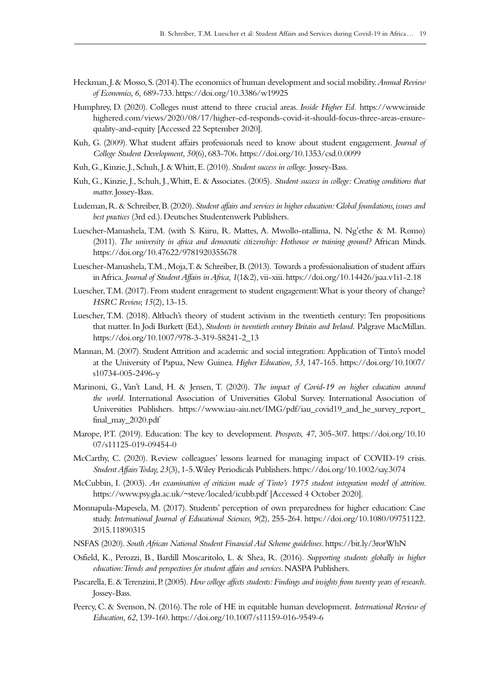- Heckman, J. & Mosso, S. (2014). The economics of human development and social mobility. *Annual Review of Economics, 6,* 689‑733. <https://doi.org/10.3386/w19925>
- Humphrey, D. (2020). Colleges must attend to three crucial areas. *Inside Higher Ed.* [https://www.inside](https://www.insidehighered.com/views/2020/08/17/higher-ed-responds-covid-it-should-focus-three-areas) [highered.com/views/2020/08/17/higher-ed-responds-covid-it-should-focus-three-areas-ensure](https://www.insidehighered.com/views/2020/08/17/higher-ed-responds-covid-it-should-focus-three-areas)[quality-and-equity](https://www.insidehighered.com/views/2020/08/17/higher-ed-responds-covid-it-should-focus-three-areas) [Accessed 22 September 2020].
- Kuh, G. (2009). What student affairs professionals need to know about student engagement. *Journal of College Student Development, 50*(6), 683‑706.<https://doi.org/10.1353/csd.0.0099>
- Kuh, G., Kinzie, J., Schuh, J. & Whitt, E. (2010). *Student success in college.* Jossey-Bass.
- Kuh, G., Kinzie, J., Schuh, J., Whitt, E. & Associates. (2005). *Student success in college: Creating conditions that matter*. Jossey-Bass.
- Ludeman, R. & Schreiber, B. (2020). *Student affairs and services in higher education: Global foundations, issues and best practices* (3rd ed.). Deutsches Studentenwerk Publishers.
- Luescher-Mamashela, T.M. (with S. Kiiru, R. Mattes, A. Mwollo-ntallima, N. Ng'ethe & M. Romo) (2011). *The university in africa and democratic citizenship: Hothouse or training ground?* African Minds. <https://doi.org/10.47622/9781920355678>
- Luescher-Mamashela, T.M., Moja, T. & Schreiber, B. (2013). Towards a professionalisation of student affairs in Africa. *Journal of Student Affairs in Africa, 1*(1&2), vii‑xiii.<https://doi.org/10.14426/jsaa.v1i1-2.18>
- Luescher, T.M. (2017). From student enragement to student engagement: What is your theory of change? *HSRC Review, 15*(2), 13‑15.
- Luescher, T.M. (2018). Altbach's theory of student activism in the twentieth century: Ten propositions that matter. In Jodi Burkett (Ed.), *Students in twentieth century Britain and Ireland.* Palgrave MacMillan. [https://doi.org/10.1007/978-3-319-58241-2\\_13](https://doi.org/10.1007/978-3-319-58241-2_13)
- Mannan, M. (2007). Student Attrition and academic and social integration: Application of Tinto's model at the University of Papua, New Guinea. *Higher Education, 53*, 147‑165. [https://doi.org/10.1007/](https://doi.org/10.1007/s10734-005-2496-y) [s10734-005-2496-y](https://doi.org/10.1007/s10734-005-2496-y)
- Marinoni, G., Van't Land, H. & Jensen, T. (2020). *The impact of Covid-19 on higher education around the world.* International Association of Universities Global Survey. International Association of Universities Publishers. [https://www.iau-aiu.net/IMG/pdf/iau\\_covid19\\_and\\_he\\_survey\\_report\\_](https://www.iau-aiu.net/IMG/pdf/iau_covid19_and_he_survey_report_final_may_2020.pdf) [final\\_may\\_2020.pdf](https://www.iau-aiu.net/IMG/pdf/iau_covid19_and_he_survey_report_final_may_2020.pdf)
- Marope, P.T. (2019). Education: The key to development. *Prospects, 47*, 305‑307. [https://doi.org/10.10](https://doi.org/10.1007/s11125-019-09454-0) [07/s11125-019-09454-0](https://doi.org/10.1007/s11125-019-09454-0)
- McCarthy, C. (2020). Review colleagues' lessons learned for managing impact of COVID-19 crisis. *Student Affairs Today, 23*(3), 1‑5. Wiley Periodicals Publishers. <https://doi.org/10.1002/say.3074>
- McCubbin, I. (2003). *An examination of criticism made of Tinto's 1975 student integration model of attrition*. <https://www.psy.gla.ac.uk/~steve/localed/icubb.pdf> [Accessed 4 October 2020].
- Monnapula-Mapesela, M. (2017). Students' perception of own preparedness for higher education: Case study. *International Journal of Educational Sciences, 9*(2), 255‑264. [https://doi.org/10.1080/09751122.](https://doi.org/10.1080/09751122.2015.11890315) [2015.11890315](https://doi.org/10.1080/09751122.2015.11890315)
- NSFAS (2020). *South African National Student Financial Aid Scheme guidelines*.<https://bit.ly/3rorWhN>
- Osfield, K., Perozzi, B., Bardill Moscaritolo, L. & Shea, R. (2016). *Supporting students globally in higher education: Trends and perspectives for student affairs and services*. NASPA Publishers.
- Pascarella, E. & Terenzini, P. (2005). *How college affects students: Findings and insights from twenty years of research.*  Jossey-Bass.
- Peercy, C. & Svenson, N. (2016). The role of HE in equitable human development. *International Review of Education, 62*, 139‑160.<https://doi.org/10.1007/s11159-016-9549-6>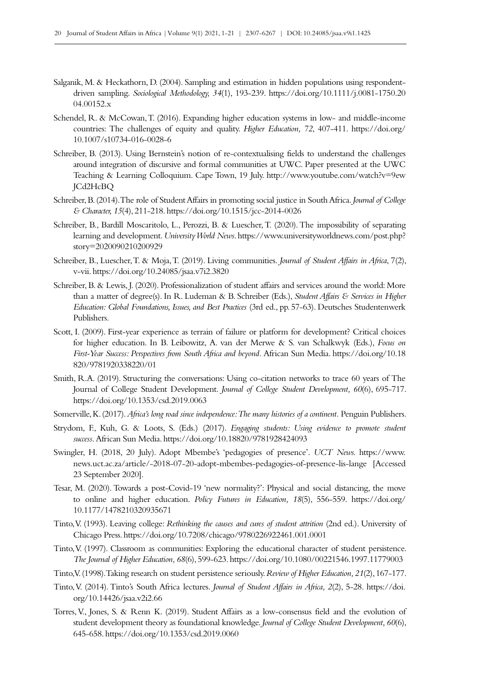- Salganik, M. & Heckathorn, D. (2004). Sampling and estimation in hidden populations using respondentdriven sampling. *Sociological Methodology, 34*(1), 193‑239. [https://doi.org/10.1111/j.0081-1750.20](https://doi.org/10.1111/j.0081-1750.2004.00152.x) 04.00152x
- Schendel, R. & McCowan, T. (2016). Expanding higher education systems in low- and middle-income countries: The challenges of equity and quality. *Higher Education, 72*, 407‑411. [https://doi.org/](https://doi.org/10.1007/s10734-016-0028-6) [10.1007/s10734-016-0028-6](https://doi.org/10.1007/s10734-016-0028-6)
- Schreiber, B. (2013). Using Bernstein's notion of re-contextualising fields to understand the challenges around integration of discursive and formal communities at UWC. Paper presented at the UWC Teaching & Learning Colloquium. Cape Town, 19 July. [http://www.youtube.com/watch?v=9ew](http://www.youtube.com/watch?v=9ewJCd2HcBQ) [JCd2HcBQ](http://www.youtube.com/watch?v=9ewJCd2HcBQ)
- Schreiber, B. (2014). The role of Student Affairs in promoting social justice in South Africa. *Journal of College & Character, 15*(4), 211‑218. <https://doi.org/10.1515/jcc-2014-0026>
- Schreiber, B., Bardill Moscaritolo, L., Perozzi, B. & Luescher, T. (2020). The impossibility of separating learning and development. *University World News*. [https://www.universityworldnews.com/post.php?](https://www.universityworldnews.com/post.php?story=2020090210200929) [story=2020090210200929](https://www.universityworldnews.com/post.php?story=2020090210200929)
- Schreiber, B., Luescher, T. & Moja, T. (2019). Living communities. *Journal of Student Affairs in Africa*, 7(2), v‑vii.<https://doi.org/10.24085/jsaa.v7i2.3820>
- Schreiber, B. & Lewis, J. (2020). Professionalization of student affairs and services around the world: More than a matter of degree(s). In R. Ludeman & B. Schreiber (Eds.), *Student Affairs & Services in Higher Education: Global Foundations, Issues, and Best Practices* (3rd ed., pp.57‑63). Deutsches Studentenwerk Publishers.
- Scott, I. (2009). First-year experience as terrain of failure or platform for development? Critical choices for higher education. In B. Leibowitz, A. van der Merwe & S. van Schalkwyk (Eds.), *Focus on First-Year Success: Perspectives from South Africa and beyond.* African Sun Media. [https://doi.org/10.18](https://doi.org/10.18820/9781920338220/01) [820/9781920338220/01](https://doi.org/10.18820/9781920338220/01)
- Smith, R.A. (2019). Structuring the conversations: Using co-citation networks to trace 60 years of The Journal of College Student Development. *Journal of College Student Development*, 60(6), 695-717. <https://doi.org/10.1353/csd.2019.0063>
- Somerville, K. (2017). *Africa's long road since independence: The many histories of a continent.* Penguin Publishers.
- Strydom, F., Kuh, G. & Loots, S. (Eds.) (2017). *Engaging students: Using evidence to promote student success*. African Sun Media.<https://doi.org/10.18820/9781928424093>
- Swingler, H. (2018, 20 July). Adopt Mbembe's 'pedagogies of presence'. *UCT News.* [https://www.](https://www.news.uct.ac.za/article/-2018-07-20-adopt-mbembes-pedagogies-of-presence-lis-lange) [news.uct.ac.za/article/-2018-07-20-adopt-mbembes-pedagogies-of-presence-lis-lange](https://www.news.uct.ac.za/article/-2018-07-20-adopt-mbembes-pedagogies-of-presence-lis-lange) [Accessed 23 September 2020].
- Tesar, M. (2020). Towards a post-Covid-19 'new normality?': Physical and social distancing, the move to online and higher education. *Policy Futures in Education, 18*(5), 556‑559. [https://doi.org/](https://doi.org/10.1177/1478210320935671) [10.1177/1478210320935671](https://doi.org/10.1177/1478210320935671)
- Tinto, V. (1993). Leaving college: *Rethinking the causes and cures of student attrition* (2nd ed.). University of Chicago Press.<https://doi.org/10.7208/chicago/9780226922461.001.0001>
- Tinto, V. (1997). Classroom as communities: Exploring the educational character of student persistence. *The Journal of Higher Education, 68*(6), 599‑623.<https://doi.org/10.1080/00221546.1997.11779003>
- Tinto, V. (1998). Taking research on student persistence seriously. *Review of Higher Education*, 21(2), 167-177.
- Tinto, V. (2014). Tinto's South Africa lectures. *Journal of Student Affairs in Africa, 2*(2), 5‑28. [https://doi.](https://doi.org/10.14426/jsaa.v2i2.66) [org/10.14426/jsaa.v2i2.66](https://doi.org/10.14426/jsaa.v2i2.66)
- Torres, V., Jones, S. & Renn K. (2019). Student Affairs as a low-consensus field and the evolution of student development theory as foundational knowledge. *Journal of College Student Development, 60*(6), 645‑658.<https://doi.org/10.1353/csd.2019.0060>